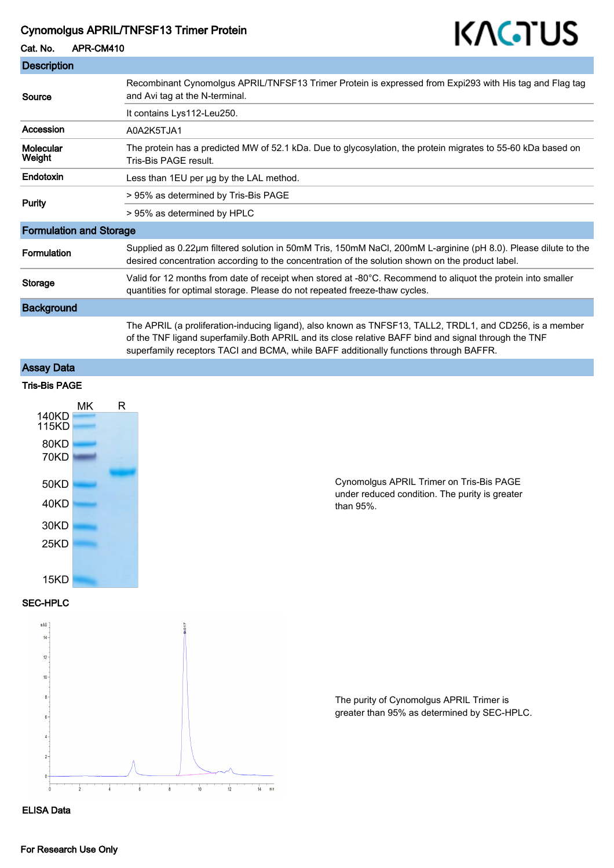## Cynomolgus APRIL/TNFSF13 Trimer Protein

# KAGTUS

Cat. No. APR-CM410

| <b>Description</b>             |                                                                                                                                                                                                                                                                                                            |
|--------------------------------|------------------------------------------------------------------------------------------------------------------------------------------------------------------------------------------------------------------------------------------------------------------------------------------------------------|
| Source                         | Recombinant Cynomolgus APRIL/TNFSF13 Trimer Protein is expressed from Expi293 with His tag and Flag tag<br>and Avi tag at the N-terminal.                                                                                                                                                                  |
|                                | It contains Lys112-Leu250.                                                                                                                                                                                                                                                                                 |
| Accession                      | A0A2K5TJA1                                                                                                                                                                                                                                                                                                 |
| Molecular<br>Weight            | The protein has a predicted MW of 52.1 kDa. Due to glycosylation, the protein migrates to 55-60 kDa based on<br>Tris-Bis PAGE result.                                                                                                                                                                      |
| Endotoxin                      | Less than 1EU per ug by the LAL method.                                                                                                                                                                                                                                                                    |
| Purity                         | > 95% as determined by Tris-Bis PAGE                                                                                                                                                                                                                                                                       |
|                                | > 95% as determined by HPLC                                                                                                                                                                                                                                                                                |
| <b>Formulation and Storage</b> |                                                                                                                                                                                                                                                                                                            |
| <b>Formulation</b>             | Supplied as 0.22µm filtered solution in 50mM Tris, 150mM NaCl, 200mM L-arginine (pH 8.0). Please dilute to the<br>desired concentration according to the concentration of the solution shown on the product label.                                                                                         |
| <b>Storage</b>                 | Valid for 12 months from date of receipt when stored at -80°C. Recommend to aliquot the protein into smaller<br>quantities for optimal storage. Please do not repeated freeze-thaw cycles.                                                                                                                 |
| <b>Background</b>              |                                                                                                                                                                                                                                                                                                            |
|                                | The APRIL (a proliferation-inducing ligand), also known as TNFSF13, TALL2, TRDL1, and CD256, is a member<br>of the TNF ligand superfamily. Both APRIL and its close relative BAFF bind and signal through the TNF<br>superfamily receptors TACI and BCMA, while BAFF additionally functions through BAFFR. |

# Assay Data



#### SEC-HPLC



Cynomolgus APRIL Trimer on Tris-Bis PAGE under reduced condition. The purity is greater than 95%.

The purity of Cynomolgus APRIL Trimer is greater than 95% as determined by SEC-HPLC.

ELISA Data